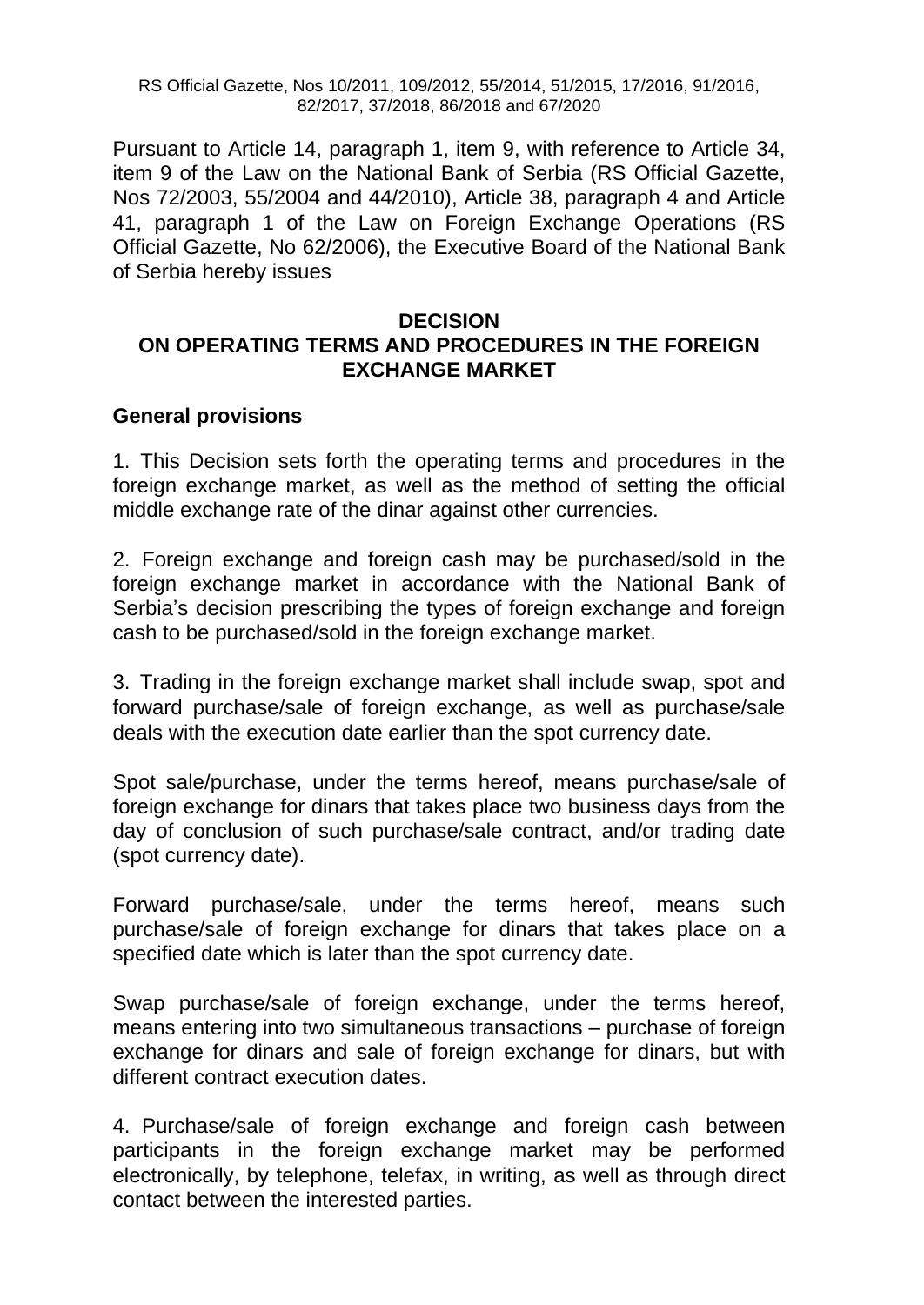Pursuant to Article 14, paragraph 1, item 9, with reference to Article 34, item 9 of the Law on the National Bank of Serbia (RS Official Gazette, Nos 72/2003, 55/2004 and 44/2010), Article 38, paragraph 4 and Article 41, paragraph 1 of the Law on Foreign Exchange Operations (RS Official Gazette, No 62/2006), the Executive Board of the National Bank of Serbia hereby issues

# **DECISION**

## **ON OPERATING TERMS AND PROCEDURES IN THE FOREIGN EXCHANGE MARKET**

#### **General provisions**

1. This Decision sets forth the operating terms and procedures in the foreign exchange market, as well as the method of setting the official middle exchange rate of the dinar against other currencies.

2. Foreign exchange and foreign cash may be purchased/sold in the foreign exchange market in accordance with the National Bank of Serbia's decision prescribing the types of foreign exchange and foreign cash to be purchased/sold in the foreign exchange market.

3. Trading in the foreign exchange market shall include swap, spot and forward purchase/sale of foreign exchange, as well as purchase/sale deals with the execution date earlier than the spot currency date.

Spot sale/purchase, under the terms hereof, means purchase/sale of foreign exchange for dinars that takes place two business days from the day of conclusion of such purchase/sale contract, and/or trading date (spot currency date).

Forward purchase/sale, under the terms hereof, means such purchase/sale of foreign exchange for dinars that takes place on a specified date which is later than the spot currency date.

Swap purchase/sale of foreign exchange, under the terms hereof, means entering into two simultaneous transactions – purchase of foreign exchange for dinars and sale of foreign exchange for dinars, but with different contract execution dates.

4. Purchase/sale of foreign exchange and foreign cash between participants in the foreign exchange market may be performed electronically, by telephone, telefax, in writing, as well as through direct contact between the interested parties.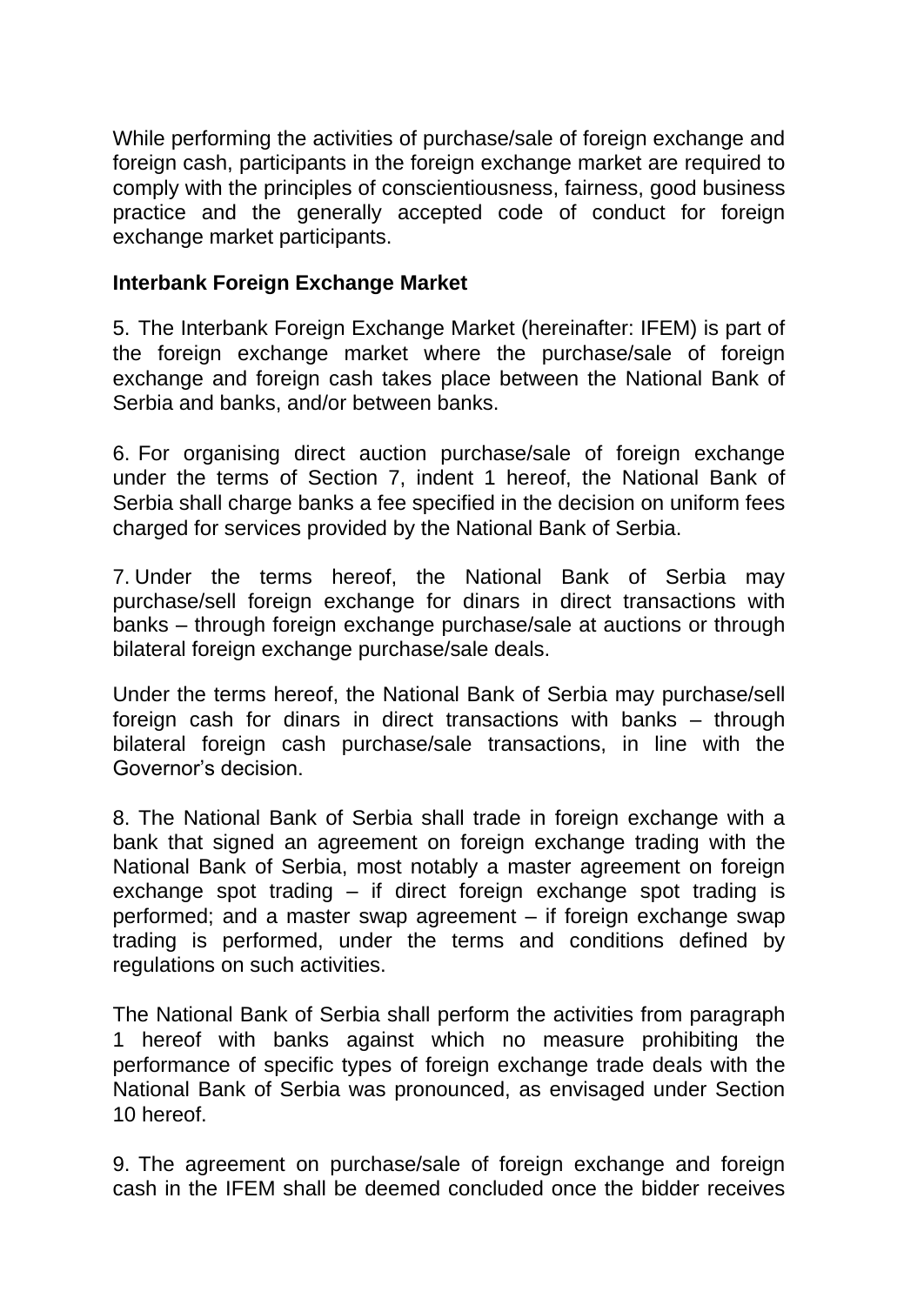While performing the activities of purchase/sale of foreign exchange and foreign cash, participants in the foreign exchange market are required to comply with the principles of conscientiousness, fairness, good business practice and the generally accepted code of conduct for foreign exchange market participants.

#### **Interbank Foreign Exchange Market**

5. The Interbank Foreign Exchange Market (hereinafter: IFEM) is part of the foreign exchange market where the purchase/sale of foreign exchange and foreign cash takes place between the National Bank of Serbia and banks, and/or between banks.

6. For organising direct auction purchase/sale of foreign exchange under the terms of Section 7, indent 1 hereof, the National Bank of Serbia shall charge banks a fee specified in the decision on uniform fees charged for services provided by the National Bank of Serbia.

7. Under the terms hereof, the National Bank of Serbia may purchase/sell foreign exchange for dinars in direct transactions with banks – through foreign exchange purchase/sale at auctions or through bilateral foreign exchange purchase/sale deals.

Under the terms hereof, the National Bank of Serbia may purchase/sell foreign cash for dinars in direct transactions with banks – through bilateral foreign cash purchase/sale transactions, in line with the Governor's decision.

8. The National Bank of Serbia shall trade in foreign exchange with a bank that signed an agreement on foreign exchange trading with the National Bank of Serbia, most notably a master agreement on foreign exchange spot trading – if direct foreign exchange spot trading is performed; and a master swap agreement – if foreign exchange swap trading is performed, under the terms and conditions defined by regulations on such activities.

The National Bank of Serbia shall perform the activities from paragraph 1 hereof with banks against which no measure prohibiting the performance of specific types of foreign exchange trade deals with the National Bank of Serbia was pronounced, as envisaged under Section 10 hereof.

9. The agreement on purchase/sale of foreign exchange and foreign cash in the IFEM shall be deemed concluded once the bidder receives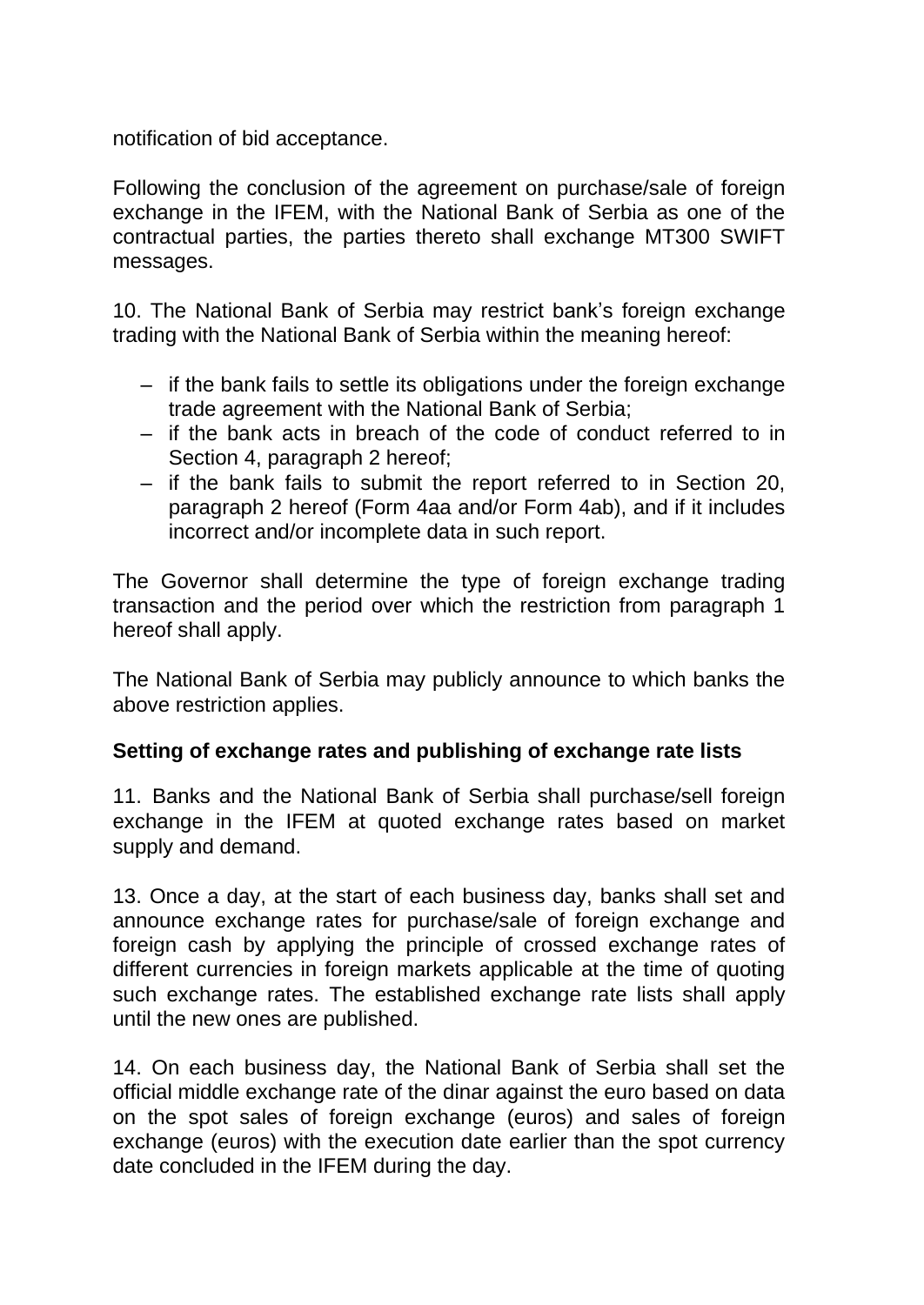notification of bid acceptance.

Following the conclusion of the agreement on purchase/sale of foreign exchange in the IFEM, with the National Bank of Serbia as one of the contractual parties, the parties thereto shall exchange MT300 SWIFT messages.

10. The National Bank of Serbia may restrict bank's foreign exchange trading with the National Bank of Serbia within the meaning hereof:

- if the bank fails to settle its obligations under the foreign exchange trade agreement with the National Bank of Serbia;
- if the bank acts in breach of the code of conduct referred to in Section 4, paragraph 2 hereof;
- if the bank fails to submit the report referred to in Section 20, paragraph 2 hereof (Form 4aa and/or Form 4ab), and if it includes incorrect and/or incomplete data in such report.

The Governor shall determine the type of foreign exchange trading transaction and the period over which the restriction from paragraph 1 hereof shall apply.

The National Bank of Serbia may publicly announce to which banks the above restriction applies.

#### **Setting of exchange rates and publishing of exchange rate lists**

11. Banks and the National Bank of Serbia shall purchase/sell foreign exchange in the IFEM at quoted exchange rates based on market supply and demand.

13. Once a day, at the start of each business day, banks shall set and announce exchange rates for purchase/sale of foreign exchange and foreign cash by applying the principle of crossed exchange rates of different currencies in foreign markets applicable at the time of quoting such exchange rates. The established exchange rate lists shall apply until the new ones are published.

14. On each business day, the National Bank of Serbia shall set the official middle exchange rate of the dinar against the euro based on data on the spot sales of foreign exchange (euros) and sales of foreign exchange (euros) with the execution date earlier than the spot currency date concluded in the IFEM during the day.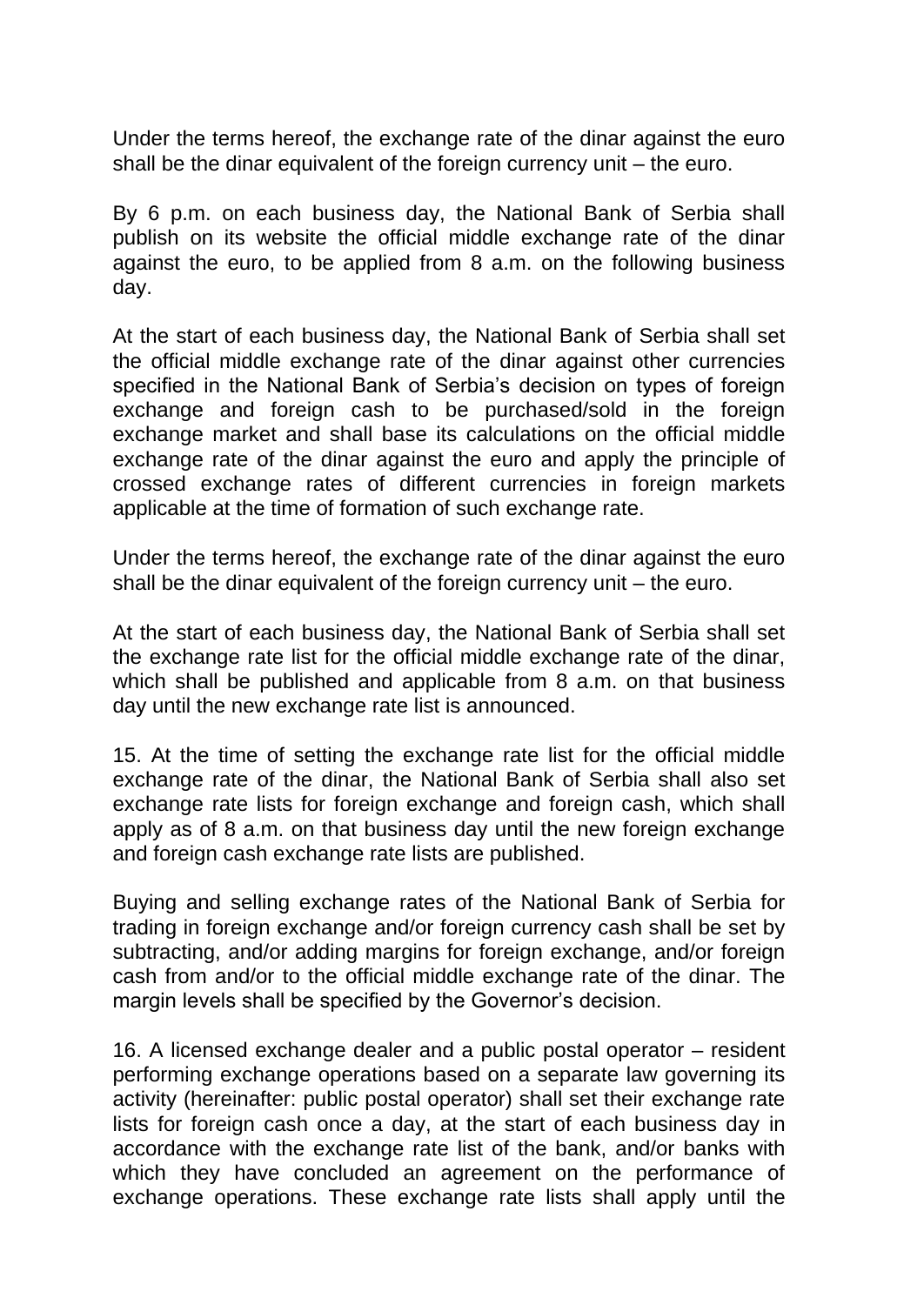Under the terms hereof, the exchange rate of the dinar against the euro shall be the dinar equivalent of the foreign currency unit – the euro.

By 6 p.m. on each business day, the National Bank of Serbia shall publish on its website the official middle exchange rate of the dinar against the euro, to be applied from 8 a.m. on the following business day.

At the start of each business day, the National Bank of Serbia shall set the official middle exchange rate of the dinar against other currencies specified in the National Bank of Serbia's decision on types of foreign exchange and foreign cash to be purchased/sold in the foreign exchange market and shall base its calculations on the official middle exchange rate of the dinar against the euro and apply the principle of crossed exchange rates of different currencies in foreign markets applicable at the time of formation of such exchange rate.

Under the terms hereof, the exchange rate of the dinar against the euro shall be the dinar equivalent of the foreign currency unit – the euro.

At the start of each business day, the National Bank of Serbia shall set the exchange rate list for the official middle exchange rate of the dinar, which shall be published and applicable from 8 a.m. on that business day until the new exchange rate list is announced.

15. At the time of setting the exchange rate list for the official middle exchange rate of the dinar, the National Bank of Serbia shall also set exchange rate lists for foreign exchange and foreign cash, which shall apply as of 8 a.m. on that business day until the new foreign exchange and foreign cash exchange rate lists are published.

Buying and selling exchange rates of the National Bank of Serbia for trading in foreign exchange and/or foreign currency cash shall be set by subtracting, and/or adding margins for foreign exchange, and/or foreign cash from and/or to the official middle exchange rate of the dinar. The margin levels shall be specified by the Governor's decision.

16. A licensed exchange dealer and a public postal operator – resident performing exchange operations based on a separate law governing its activity (hereinafter: public postal operator) shall set their exchange rate lists for foreign cash once a day, at the start of each business day in accordance with the exchange rate list of the bank, and/or banks with which they have concluded an agreement on the performance of exchange operations. These exchange rate lists shall apply until the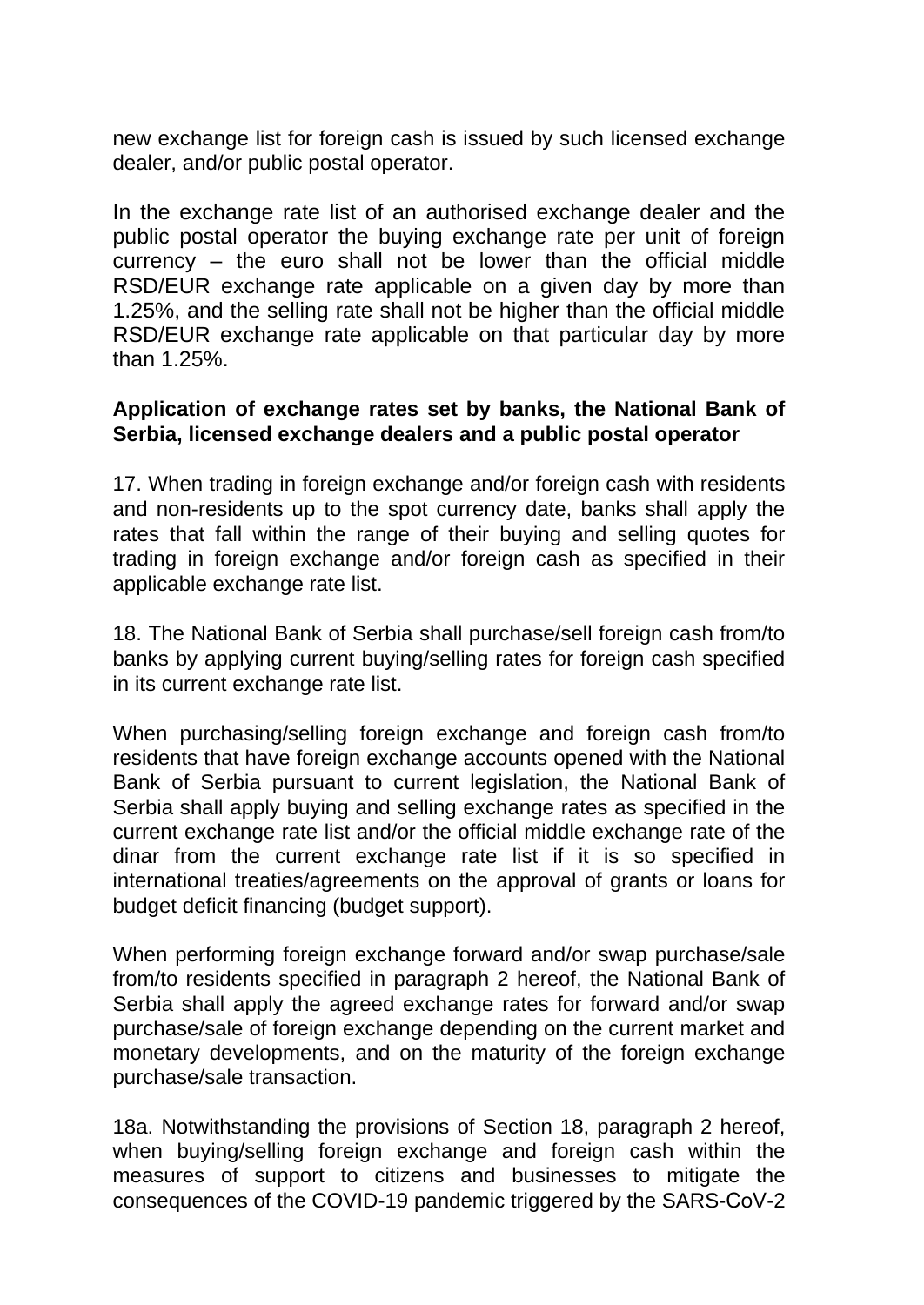new exchange list for foreign cash is issued by such licensed exchange dealer, and/or public postal operator.

In the exchange rate list of an authorised exchange dealer and the public postal operator the buying exchange rate per unit of foreign currency – the euro shall not be lower than the official middle RSD/EUR exchange rate applicable on a given day by more than 1.25%, and the selling rate shall not be higher than the official middle RSD/EUR exchange rate applicable on that particular day by more than 1.25%.

#### **Application of exchange rates set by banks, the National Bank of Serbia, licensed exchange dealers and a public postal operator**

17. When trading in foreign exchange and/or foreign cash with residents and non-residents up to the spot currency date, banks shall apply the rates that fall within the range of their buying and selling quotes for trading in foreign exchange and/or foreign cash as specified in their applicable exchange rate list.

18. The National Bank of Serbia shall purchase/sell foreign cash from/to banks by applying current buying/selling rates for foreign cash specified in its current exchange rate list.

When purchasing/selling foreign exchange and foreign cash from/to residents that have foreign exchange accounts opened with the National Bank of Serbia pursuant to current legislation, the National Bank of Serbia shall apply buying and selling exchange rates as specified in the current exchange rate list and/or the official middle exchange rate of the dinar from the current exchange rate list if it is so specified in international treaties/agreements on the approval of grants or loans for budget deficit financing (budget support).

When performing foreign exchange forward and/or swap purchase/sale from/to residents specified in paragraph 2 hereof, the National Bank of Serbia shall apply the agreed exchange rates for forward and/or swap purchase/sale of foreign exchange depending on the current market and monetary developments, and on the maturity of the foreign exchange purchase/sale transaction.

18a. Notwithstanding the provisions of Section 18, paragraph 2 hereof, when buying/selling foreign exchange and foreign cash within the measures of support to citizens and businesses to mitigate the consequences of the COVID-19 pandemic triggered by the SARS-CоV-2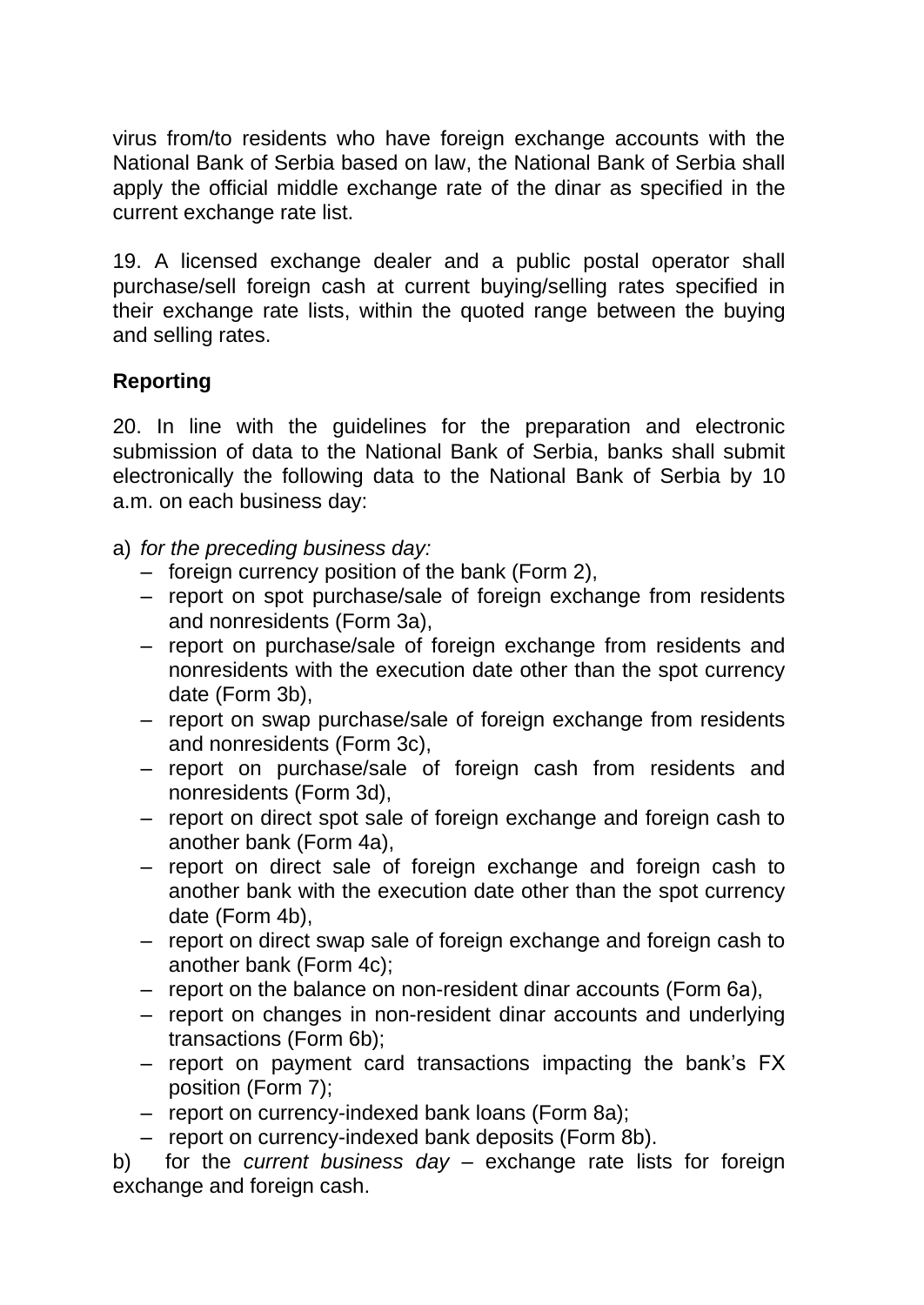virus from/to residents who have foreign exchange accounts with the National Bank of Serbia based on law, the National Bank of Serbia shall apply the official middle exchange rate of the dinar as specified in the current exchange rate list.

19. A licensed exchange dealer and a public postal operator shall purchase/sell foreign cash at current buying/selling rates specified in their exchange rate lists, within the quoted range between the buying and selling rates.

# **Reporting**

20. In line with the guidelines for the preparation and electronic submission of data to the National Bank of Serbia, banks shall submit electronically the following data to the National Bank of Serbia by 10 a.m. on each business day:

- a) *for the preceding business day:*
	- foreign currency position of the bank (Form 2),
	- report on spot purchase/sale of foreign exchange from residents and nonresidents (Form 3a),
	- report on purchase/sale of foreign exchange from residents and nonresidents with the execution date other than the spot currency date (Form 3b),
	- report on swap purchase/sale of foreign exchange from residents and nonresidents (Form 3c),
	- report on purchase/sale of foreign cash from residents and nonresidents (Form 3d),
	- report on direct spot sale of foreign exchange and foreign cash to another bank (Form 4a),
	- report on direct sale of foreign exchange and foreign cash to another bank with the execution date other than the spot currency date (Form 4b),
	- report on direct swap sale of foreign exchange and foreign cash to another bank (Form 4c);
	- report on the balance on non-resident dinar accounts (Form 6а),
	- report on changes in non-resident dinar accounts and underlying transactions (Form 6b);
	- report on payment card transactions impacting the bank's FX position (Form 7);
	- report on currency-indexed bank loans (Form 8a);
	- report on currency-indexed bank deposits (Form 8b).

b) for the *current business day –* exchange rate lists for foreign exchange and foreign cash.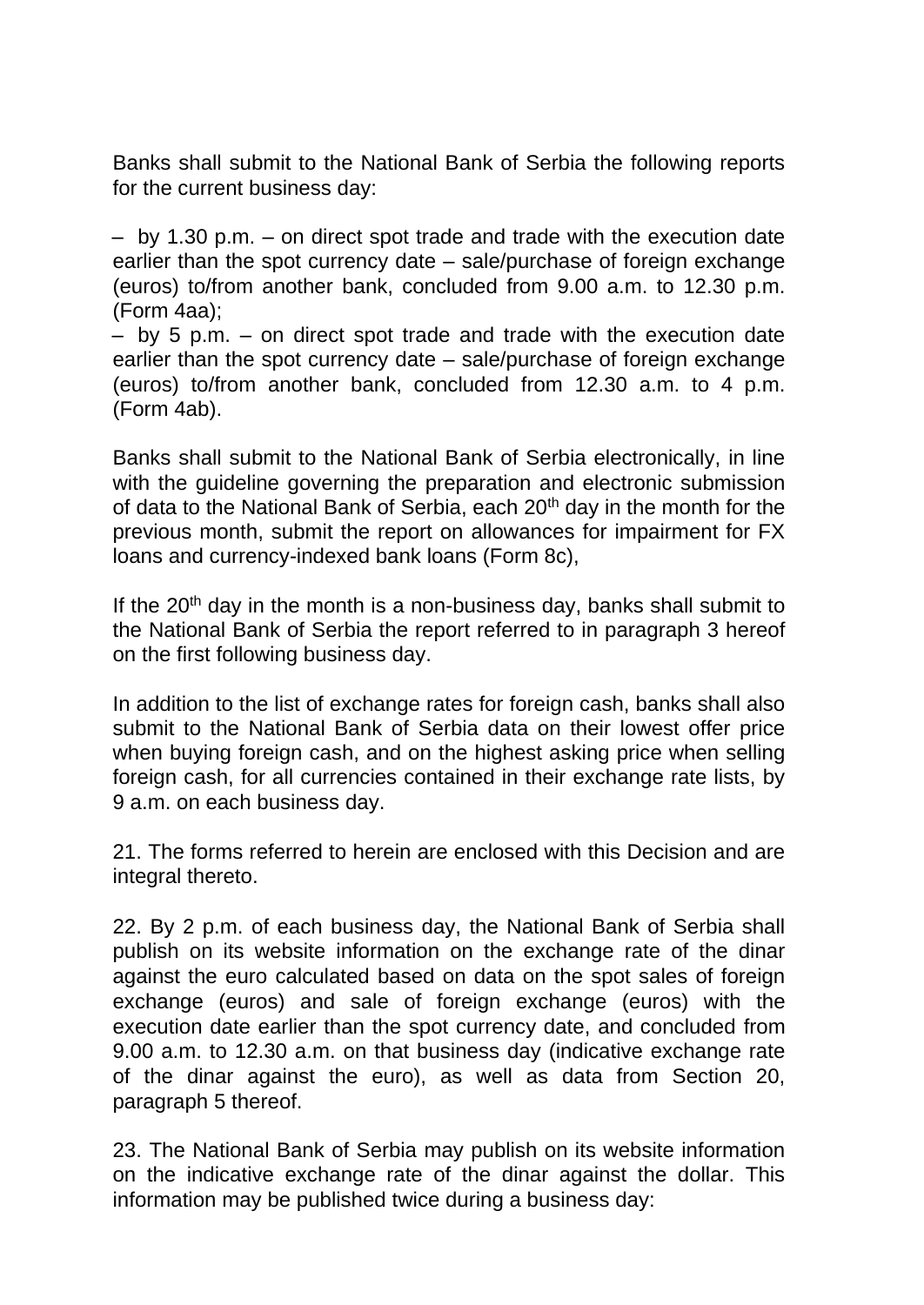Banks shall submit to the National Bank of Serbia the following reports for the current business day:

– by 1.30 p.m. – on direct spot trade and trade with the execution date earlier than the spot currency date – sale/purchase of foreign exchange (euros) to/from another bank, concluded from 9.00 a.m. to 12.30 p.m. (Form 4aa);

– by 5 p.m. – on direct spot trade and trade with the execution date earlier than the spot currency date – sale/purchase of foreign exchange (euros) to/from another bank, concluded from 12.30 a.m. to 4 p.m. (Form 4ab).

Banks shall submit to the National Bank of Serbia electronically, in line with the guideline governing the preparation and electronic submission of data to the National Bank of Serbia, each 20<sup>th</sup> day in the month for the previous month, submit the report on allowances for impairment for FX loans and currency-indexed bank loans (Form 8c),

If the  $20<sup>th</sup>$  day in the month is a non-business day, banks shall submit to the National Bank of Serbia the report referred to in paragraph 3 hereof on the first following business day.

In addition to the list of exchange rates for foreign cash, banks shall also submit to the National Bank of Serbia data on their lowest offer price when buying foreign cash, and on the highest asking price when selling foreign cash, for all currencies contained in their exchange rate lists, by 9 a.m. on each business day.

21. The forms referred to herein are enclosed with this Decision and are integral thereto.

22. By 2 p.m. of each business day, the National Bank of Serbia shall publish on its website information on the exchange rate of the dinar against the euro calculated based on data on the spot sales of foreign exchange (euros) and sale of foreign exchange (euros) with the execution date earlier than the spot currency date, and concluded from 9.00 a.m. to 12.30 a.m. on that business day (indicative exchange rate of the dinar against the euro), as well as data from Section 20, paragraph 5 thereof.

23. The National Bank of Serbia may publish on its website information on the indicative exchange rate of the dinar against the dollar. This information may be published twice during a business day: